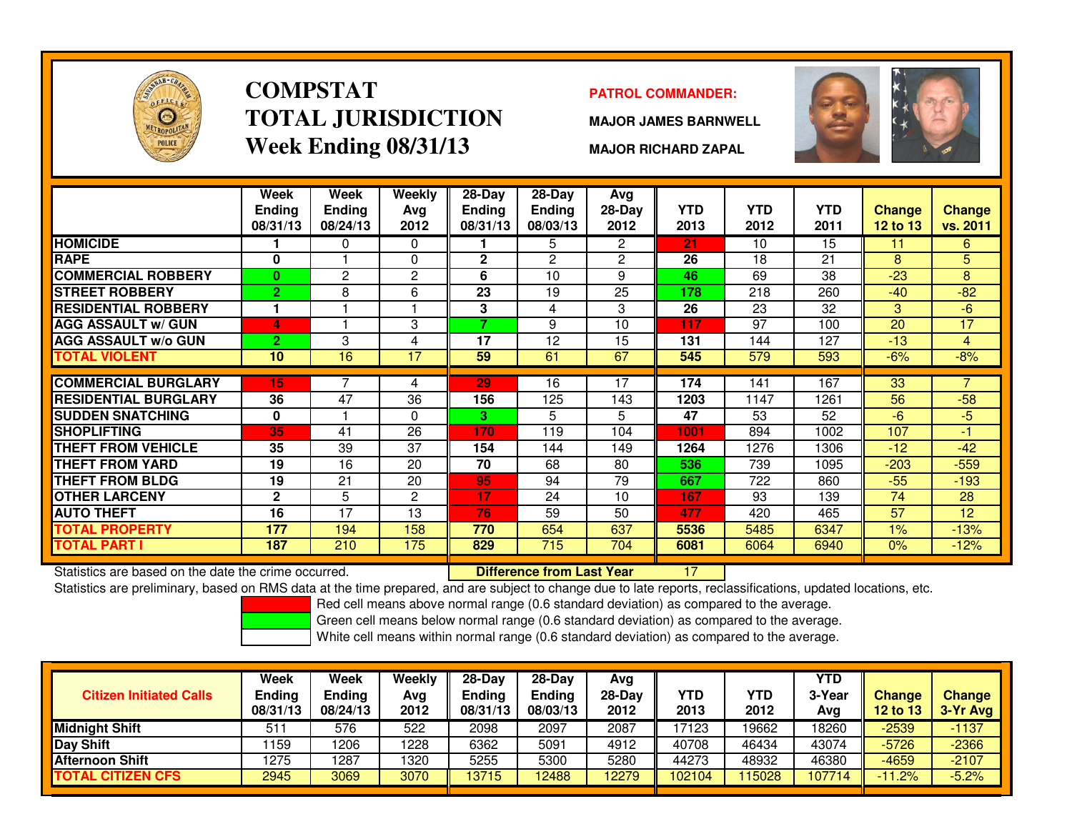

### **COMPSTATTOTAL JURISDICTIONWeek Ending 08/31/13**

### **PATROL COMMANDER:**

**MAJOR JAMES BARNWELL**



**MAJOR RICHARD ZAPAL**

|                                                      | Week<br><b>Ending</b><br>08/31/13 | Week<br><b>Ending</b><br>08/24/13 | Weekly<br>Avg<br>2012 | 28-Day<br><b>Ending</b><br>08/31/13 | $28-Day$<br><b>Ending</b><br>08/03/13 | Avg<br>28-Day<br>2012 | <b>YTD</b><br>2013 | <b>YTD</b><br>2012 | <b>YTD</b><br>2011 | <b>Change</b><br><b>12 to 13</b> | <b>Change</b><br>vs. 2011 |
|------------------------------------------------------|-----------------------------------|-----------------------------------|-----------------------|-------------------------------------|---------------------------------------|-----------------------|--------------------|--------------------|--------------------|----------------------------------|---------------------------|
| <b>HOMICIDE</b>                                      |                                   | 0                                 | 0                     |                                     | 5                                     | 2                     | 21                 | 10                 | 15                 | 11                               | 6                         |
| <b>RAPE</b>                                          | 0                                 |                                   | $\Omega$              | $\mathbf{2}$                        | $\overline{2}$                        | $\overline{2}$        | 26                 | 18                 | 21                 | 8                                | 5                         |
| <b>COMMERCIAL ROBBERY</b>                            | $\bf{0}$                          | $\overline{c}$                    | $\overline{2}$        | 6                                   | 10                                    | 9                     | 46                 | 69                 | 38                 | $-23$                            | 8                         |
| <b>STREET ROBBERY</b>                                | $\overline{2}$                    | 8                                 | 6                     | 23                                  | 19                                    | 25                    | 178                | 218                | 260                | $-40$                            | $-82$                     |
| <b>RESIDENTIAL ROBBERY</b>                           | 1                                 |                                   |                       | 3                                   | 4                                     | 3                     | 26                 | 23                 | 32                 | 3                                | $-6$                      |
| <b>AGG ASSAULT w/ GUN</b>                            | 4                                 |                                   | 3                     | 7                                   | 9                                     | 10                    | 117                | 97                 | 100                | 20                               | 17                        |
| <b>AGG ASSAULT w/o GUN</b>                           | $\overline{2}$                    | 3                                 | 4                     | 17                                  | 12                                    | 15                    | 131                | 144                | 127                | $-13$                            | 4                         |
| TOTAL VIOLENT                                        | 10                                | 16                                | $\overline{17}$       | 59                                  | 61                                    | 67                    | 545                | 579                | 593                | $-6%$                            | $-8%$                     |
|                                                      |                                   |                                   |                       |                                     |                                       |                       |                    |                    |                    |                                  |                           |
| <b>COMMERCIAL BURGLARY</b>                           | 15                                |                                   | 4                     | 29                                  | 16                                    | 17                    | 174                | 141                | 167                | 33                               | 7                         |
| <b>RESIDENTIAL BURGLARY</b>                          | 36                                | 47                                | 36                    | 156                                 | 125                                   | 143                   | 1203               | 1147               | 1261               | 56                               | $-58$                     |
| <b>SUDDEN SNATCHING</b>                              | 0                                 |                                   | $\Omega$              | 3.                                  | 5                                     | 5                     | 47                 | 53                 | 52                 | $-6$                             | $-5$                      |
| <b>SHOPLIFTING</b>                                   | 35                                | 41                                | 26                    | 170                                 | 119                                   | 104                   | 1001               | 894                | 1002               | 107                              | $-1$                      |
| <b>THEFT FROM VEHICLE</b>                            | 35                                | 39                                | 37                    | 154                                 | 144                                   | 149                   | 1264               | 1276               | 1306               | $-12$                            | $-42$                     |
| <b>THEFT FROM YARD</b>                               | 19                                | 16                                | 20                    | 70                                  | 68                                    | 80                    | 536                | 739                | 1095               | $-203$                           | $-559$                    |
| <b>THEFT FROM BLDG</b>                               | 19                                | 21                                | 20                    | 95                                  | 94                                    | 79                    | 667                | 722                | 860                | $-55$                            | $-193$                    |
| <b>OTHER LARCENY</b>                                 | $\overline{2}$                    | 5                                 | 2                     | 17                                  | 24                                    | 10                    | 167                | 93                 | 139                | 74                               | 28                        |
| <b>AUTO THEFT</b>                                    | 16                                | 17                                | 13                    | 76                                  | 59                                    | 50                    | 477                | 420                | 465                | 57                               | 12                        |
| <b>TOTAL PROPERTY</b>                                | 177                               | 194                               | 158                   | 770                                 | 654                                   | 637                   | 5536               | 5485               | 6347               | 1%                               | $-13%$                    |
| TOTAL PART I                                         | 187                               | 210                               | 175                   | 829                                 | 715                                   | 704                   | 6081               | 6064               | 6940               | 0%                               | $-12%$                    |
| Statistics are based on the date the crime occurred. |                                   |                                   |                       |                                     | <b>Difference from Last Year</b>      |                       | 17                 |                    |                    |                                  |                           |

Statistics are based on the date the crime occurred. **Difference from Last Year** 

Statistics are preliminary, based on RMS data at the time prepared, and are subject to change due to late reports, reclassifications, updated locations, etc.

Red cell means above normal range (0.6 standard deviation) as compared to the average.

Green cell means below normal range (0.6 standard deviation) as compared to the average.

| <b>Citizen Initiated Calls</b> | Week<br><b>Ending</b><br>08/31/13 | Week<br><b>Ending</b><br>08/24/13 | Weekly<br>Avg<br>2012 | $28-Day$<br><b>Ending</b><br>08/31/13 | $28-Day$<br><b>Ending</b><br>08/03/13 | Avg<br>28-Dav<br>2012 | YTD<br>2013 | YTD<br>2012 | <b>YTD</b><br>3-Year<br>Ava | <b>Change</b><br><b>12 to 13</b> | <b>Change</b><br>3-Yr Avg |
|--------------------------------|-----------------------------------|-----------------------------------|-----------------------|---------------------------------------|---------------------------------------|-----------------------|-------------|-------------|-----------------------------|----------------------------------|---------------------------|
| <b>Midnight Shift</b>          | 511                               | 576                               | 522                   | 2098                                  | 2097                                  | 2087                  | 17123       | 19662       | 18260                       | $-2539$                          | $-1137$                   |
| Day Shift                      | 159                               | 1206                              | 1228                  | 6362                                  | 5091                                  | 4912                  | 40708       | 46434       | 43074                       | $-5726$                          | $-2366$                   |
| <b>Afternoon Shift</b>         | 1275                              | 1287                              | 1320                  | 5255                                  | 5300                                  | 5280                  | 44273       | 48932       | 46380                       | $-4659$                          | $-2107$                   |
| <b>TOTAL CITIZEN CFS</b>       | 2945                              | 3069                              | 3070                  | 13715                                 | 12488                                 | 12279                 | 102104      | 15028       | 107714                      | $-11.2%$                         | $-5.2%$                   |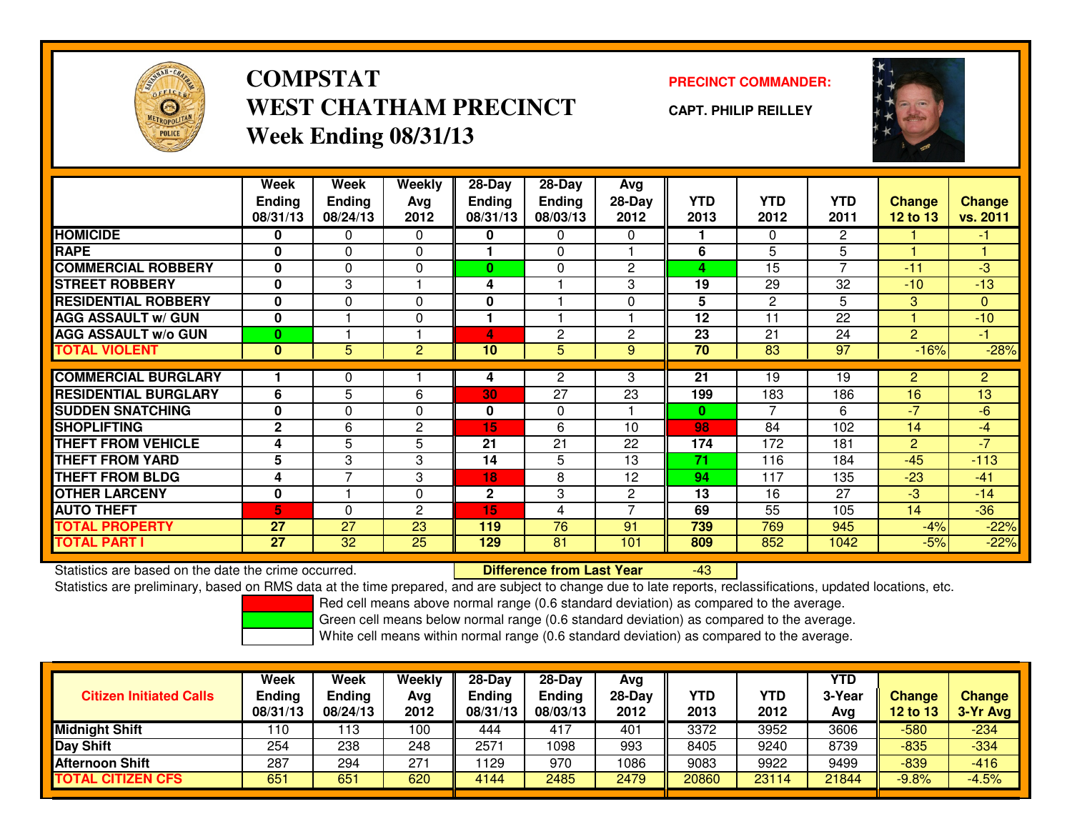

## **COMPSTATWEST CHATHAM PRECINCTWeek Ending 08/31/13**

### **PRECINCT COMMANDER:**

**CAPT. PHILIP REILLEY**



|                             | Week<br><b>Ending</b><br>08/31/13 | Week<br><b>Ending</b><br>08/24/13 | Weekly<br>Ava<br>2012 | $28-Day$<br>Ending<br>08/31/13 | $28$ -Day<br><b>Ending</b><br>08/03/13 | Avg<br>28-Day<br>2012    | <b>YTD</b><br>2013 | <b>YTD</b><br>2012 | <b>YTD</b><br>2011 | <b>Change</b><br><b>12 to 13</b> | <b>Change</b><br>vs. 2011 |
|-----------------------------|-----------------------------------|-----------------------------------|-----------------------|--------------------------------|----------------------------------------|--------------------------|--------------------|--------------------|--------------------|----------------------------------|---------------------------|
| <b>HOMICIDE</b>             | 0                                 | 0                                 | 0                     | 0                              | 0                                      | $\Omega$                 |                    | $\Omega$           | 2                  |                                  | $-1$                      |
| <b>RAPE</b>                 | $\mathbf{0}$                      | 0                                 | 0                     |                                | $\Omega$                               |                          | 6                  | 5                  | 5                  |                                  |                           |
| <b>COMMERCIAL ROBBERY</b>   | $\mathbf{0}$                      | $\Omega$                          | 0                     | $\mathbf{0}$                   | 0                                      | $\overline{2}$           | 4                  | 15                 | 7                  | $-11$                            | $-3$                      |
| <b>STREET ROBBERY</b>       | 0                                 | 3                                 |                       | 4                              |                                        | 3                        | 19                 | 29                 | 32                 | $-10$                            | $-13$                     |
| <b>RESIDENTIAL ROBBERY</b>  | $\bf{0}$                          | $\Omega$                          | 0                     | $\mathbf{0}$                   |                                        | $\Omega$                 | 5                  | 2                  | 5                  | 3                                | $\mathbf{0}$              |
| <b>AGG ASSAULT w/ GUN</b>   | $\bf{0}$                          |                                   | 0                     |                                |                                        |                          | 12                 | 11                 | 22                 |                                  | $-10$                     |
| <b>AGG ASSAULT w/o GUN</b>  | $\bf{0}$                          |                                   |                       | 4                              | 2                                      | 2                        | 23                 | 21                 | 24                 | $\overline{2}$                   | $-1$                      |
| <b>TOTAL VIOLENT</b>        | $\mathbf{0}$                      | 5                                 | $\overline{2}$        | 10                             | 5                                      | 9                        | 70                 | $\overline{83}$    | $\overline{97}$    | $-16%$                           | $-28%$                    |
|                             |                                   |                                   |                       |                                |                                        |                          |                    |                    |                    |                                  |                           |
| <b>COMMERCIAL BURGLARY</b>  |                                   | 0                                 |                       | 4                              | 2                                      | 3                        | 21                 | 19                 | 19                 | $\overline{2}$                   | $\overline{2}$            |
| <b>RESIDENTIAL BURGLARY</b> | 6                                 | 5                                 | 6                     | 30                             | $\overline{27}$                        | 23                       | 199                | 183                | 186                | 16                               | 13                        |
| <b>ISUDDEN SNATCHING</b>    | $\bf{0}$                          | $\Omega$                          | 0                     | 0                              | $\Omega$                               |                          | $\bf{0}$           | $\overline{7}$     | 6                  | $-7$                             | $-6$                      |
| <b>SHOPLIFTING</b>          | $\mathbf{2}$                      | 6                                 | $\mathbf{2}$          | 15                             | 6                                      | 10                       | 98                 | 84                 | 102                | 14                               | $-4$                      |
| <b>THEFT FROM VEHICLE</b>   | 4                                 | 5                                 | 5                     | 21                             | 21                                     | 22                       | 174                | 172                | 181                | $\overline{2}$                   | $-7$                      |
| <b>THEFT FROM YARD</b>      | $5\phantom{.0}$                   | 3                                 | 3                     | 14                             | 5                                      | 13                       | 71                 | 116                | 184                | $-45$                            | $-113$                    |
| <b>THEFT FROM BLDG</b>      | 4                                 | $\overline{ }$                    | 3                     | 18                             | 8                                      | 12                       | 94                 | 117                | 135                | $-23$                            | $-41$                     |
| <b>OTHER LARCENY</b>        | 0                                 |                                   | 0                     | 2                              | 3                                      | $\overline{2}$           | 13                 | 16                 | 27                 | $-3$                             | $-14$                     |
| <b>AUTO THEFT</b>           | 5                                 | $\Omega$                          | $\mathbf{2}$          | 15                             | 4                                      | $\overline{\phantom{0}}$ | 69                 | 55                 | 105                | 14                               | $-36$                     |
| <b>TOTAL PROPERTY</b>       | 27                                | 27                                | 23                    | 119                            | 76                                     | 91                       | 739                | 769                | 945                | $-4%$                            | $-22%$                    |
| <b>TOTAL PART I</b>         | 27                                | 32                                | 25                    | 129                            | 81                                     | 101                      | 809                | 852                | 1042               | $-5%$                            | $-22%$                    |

Statistics are based on the date the crime occurred. **Difference from Last Year** 

Statistics are based on the date the crime occurred.<br>Statistics are preliminary, based on RMS data at the time prepared, and are subject to change due to late reports, reclassifications, updated locations, etc.

Red cell means above normal range (0.6 standard deviation) as compared to the average.

Green cell means below normal range (0.6 standard deviation) as compared to the average.

| <b>Citizen Initiated Calls</b> | Week<br><b>Ending</b><br>08/31/13 | Week<br>Ending<br>08/24/13 | Weekly<br>Avg<br>2012 | $28-Day$<br><b>Ending</b><br>08/31/13 | 28-Day<br><b>Ending</b><br>08/03/13 | Avg<br>28-Day<br>2012 | YTD<br>2013 | YTD<br>2012 | YTD<br>3-Year<br>Avg | <b>Change</b><br>12 to 13 | <b>Change</b><br>3-Yr Avg |
|--------------------------------|-----------------------------------|----------------------------|-----------------------|---------------------------------------|-------------------------------------|-----------------------|-------------|-------------|----------------------|---------------------------|---------------------------|
| <b>Midnight Shift</b>          | 110                               | 13                         | 100                   | 444                                   | 417                                 | 401                   | 3372        | 3952        | 3606                 | -580                      | $-234$                    |
| <b>Day Shift</b>               | 254                               | 238                        | 248                   | 2571                                  | 1098                                | 993                   | 8405        | 9240        | 8739                 | $-835$                    | $-334$                    |
| <b>Afternoon Shift</b>         | 287                               | 294                        | 271                   | 1129                                  | 970                                 | 1086                  | 9083        | 9922        | 9499                 | $-839$                    | $-416$                    |
| <b>TOTAL CITIZEN CFS</b>       | 651                               | 651                        | 620                   | 4144                                  | 2485                                | 2479                  | 20860       | 23114       | 21844                | $-9.8%$                   | $-4.5%$                   |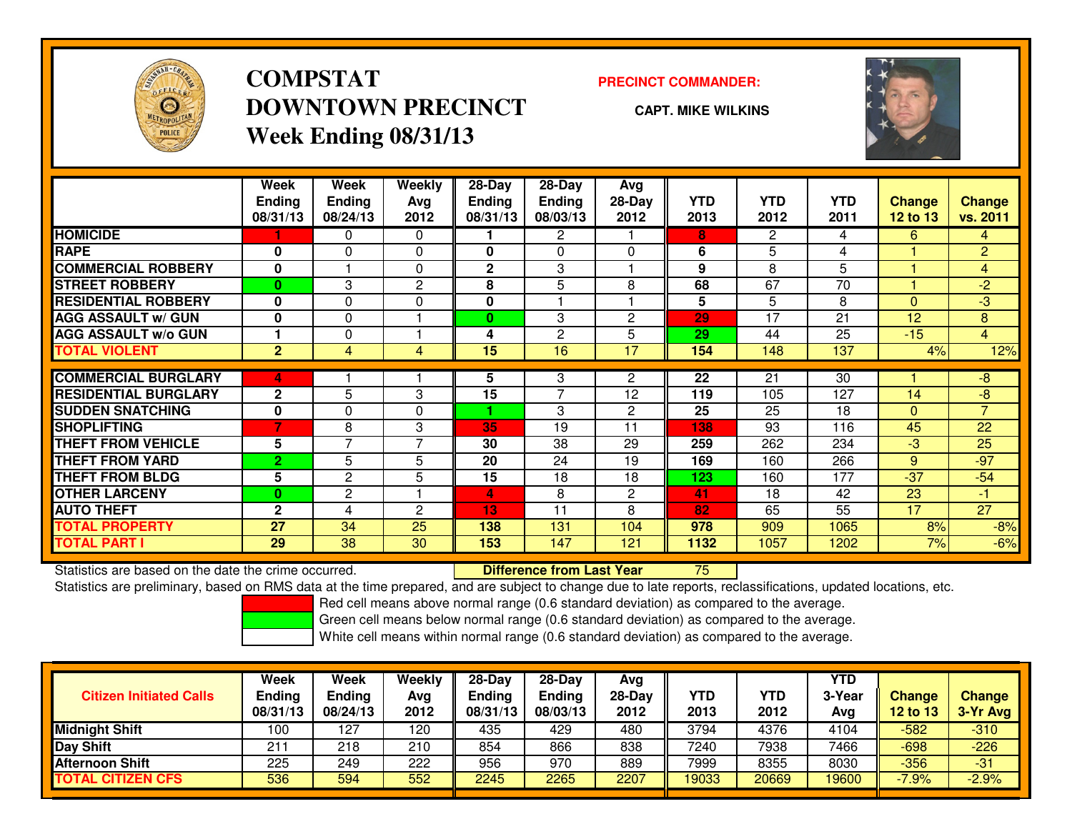

## **COMPSTATDOWNTOWN PRECINCTWeek Ending 08/31/13**

#### **PRECINCT COMMANDER:**

**CAPT. MIKE WILKINS**



|                             | Week<br><b>Ending</b><br>08/31/13 | Week<br><b>Ending</b><br>08/24/13 | <b>Weekly</b><br>Avg<br>2012 | $28 - Day$<br><b>Ending</b><br>08/31/13 | $28$ -Day<br><b>Ending</b><br>08/03/13 | Avg<br>28-Day<br>2012 | <b>YTD</b><br>2013 | <b>YTD</b><br>2012 | <b>YTD</b><br>2011 | <b>Change</b><br><b>12 to 13</b> | <b>Change</b><br>vs. 2011 |
|-----------------------------|-----------------------------------|-----------------------------------|------------------------------|-----------------------------------------|----------------------------------------|-----------------------|--------------------|--------------------|--------------------|----------------------------------|---------------------------|
| <b>HOMICIDE</b>             |                                   | 0                                 | $\Omega$                     |                                         | 2                                      |                       | 8                  | $\overline{2}$     | 4                  | 6                                | $\overline{4}$            |
| <b>RAPE</b>                 | $\bf{0}$                          | $\Omega$                          | 0                            | 0                                       | $\Omega$                               | $\Omega$              | 6                  | 5                  | 4                  |                                  | $\overline{2}$            |
| <b>COMMERCIAL ROBBERY</b>   | $\bf{0}$                          |                                   | 0                            | 2                                       | 3                                      |                       | 9                  | 8                  | 5                  |                                  | $\overline{4}$            |
| <b>STREET ROBBERY</b>       | $\mathbf{0}$                      | 3                                 | 2                            | 8                                       | 5                                      | 8                     | 68                 | 67                 | 70                 | и                                | $-2$                      |
| <b>RESIDENTIAL ROBBERY</b>  | $\mathbf{0}$                      | $\Omega$                          | $\Omega$                     | 0                                       |                                        |                       | 5                  | 5                  | 8                  | $\Omega$                         | $-3$                      |
| <b>AGG ASSAULT w/ GUN</b>   | $\bf{0}$                          | $\Omega$                          |                              | 0                                       | 3                                      | $\mathbf{2}$          | 29                 | 17                 | 21                 | 12                               | 8                         |
| <b>AGG ASSAULT w/o GUN</b>  |                                   | 0                                 |                              | 4                                       | 2                                      | 5                     | 29                 | 44                 | 25                 | $-15$                            | $\overline{4}$            |
| <b>TOTAL VIOLENT</b>        | $\overline{2}$                    | 4                                 | 4                            | 15                                      | 16                                     | 17                    | 154                | 148                | 137                | 4%                               | 12%                       |
|                             |                                   |                                   |                              |                                         |                                        |                       |                    |                    |                    |                                  |                           |
| <b>COMMERCIAL BURGLARY</b>  | 4                                 |                                   |                              | 5                                       | 3                                      | $\overline{2}$        | 22                 | 21                 | 30                 |                                  | -8                        |
| <b>RESIDENTIAL BURGLARY</b> | $\overline{2}$                    | 5                                 | 3                            | 15                                      | $\overline{7}$                         | 12                    | 119                | 105                | 127                | 14                               | $-8$                      |
| <b>SUDDEN SNATCHING</b>     | $\mathbf{0}$                      | $\Omega$                          | $\Omega$                     |                                         | 3                                      | $\mathbf{2}$          | 25                 | 25                 | 18                 | $\Omega$                         | $\overline{7}$            |
| <b>SHOPLIFTING</b>          | 7                                 | 8                                 | 3                            | 35                                      | 19                                     | 11                    | 138                | 93                 | 116                | 45                               | 22                        |
| <b>THEFT FROM VEHICLE</b>   | 5                                 | 7                                 | 7                            | 30                                      | 38                                     | 29                    | 259                | 262                | 234                | $-3$                             | 25                        |
| <b>THEFT FROM YARD</b>      | $\overline{2}$                    | 5                                 | 5                            | 20                                      | 24                                     | 19                    | 169                | 160                | 266                | 9                                | $-97$                     |
| <b>THEFT FROM BLDG</b>      | 5                                 | $\overline{c}$                    | 5                            | 15                                      | 18                                     | 18                    | 123                | 160                | 177                | $-37$                            | $-54$                     |
| <b>OTHER LARCENY</b>        | $\bf{0}$                          | $\overline{c}$                    |                              | 4                                       | 8                                      | $\mathbf{2}$          | 41                 | 18                 | 42                 | 23                               | $-1$                      |
| <b>AUTO THEFT</b>           | $\mathbf{2}$                      | 4                                 | $\mathbf{c}$                 | 13                                      | 11                                     | 8                     | 82                 | 65                 | 55                 | 17                               | $\overline{27}$           |
| <b>TOTAL PROPERTY</b>       | 27                                | 34                                | 25                           | 138                                     | 131                                    | 104                   | 978                | 909                | 1065               | 8%                               | $-8%$                     |
| <b>TOTAL PART I</b>         | 29                                | $\overline{38}$                   | 30                           | 153                                     | 147                                    | 121                   | 1132               | 1057               | 1202               | 7%                               | $-6%$                     |

Statistics are based on the date the crime occurred. **Difference from Last Year** 

Statistics are based on the date the crime occurred. **Internement of the conduct of the conduct on the conduct**<br>Statistics are preliminary, based on RMS data at the time prepared, and are subject to change due to late repo

Red cell means above normal range (0.6 standard deviation) as compared to the average.

Green cell means below normal range (0.6 standard deviation) as compared to the average.

| <b>Citizen Initiated Calls</b> | Week<br><b>Ending</b><br>08/31/13 | Week<br>Ending<br>08/24/13 | Weekly<br>Avg<br>2012 | $28 - Day$<br>Ending<br>08/31/13 | $28 - Day$<br><b>Ending</b><br>08/03/13 | Avg<br>28-Day<br>2012 | YTD<br>2013 | YTD<br>2012 | <b>YTD</b><br>3-Year<br>Ava | <b>Change</b><br><b>12 to 13</b> | <b>Change</b><br>3-Yr Avg |
|--------------------------------|-----------------------------------|----------------------------|-----------------------|----------------------------------|-----------------------------------------|-----------------------|-------------|-------------|-----------------------------|----------------------------------|---------------------------|
| <b>Midnight Shift</b>          | 100                               | 127                        | 120                   | 435                              | 429                                     | 480                   | 3794        | 4376        | 4104                        | $-582$                           | $-310$                    |
| <b>Day Shift</b>               | 21                                | 218                        | 210                   | 854                              | 866                                     | 838                   | 7240        | 7938        | 7466                        | $-698$                           | $-226$                    |
| Afternoon Shift                | 225                               | 249                        | 222                   | 956                              | 970                                     | 889                   | 7999        | 8355        | 8030                        | $-356$                           | $-31$                     |
| <b>TOTAL CITIZEN CFS</b>       | 536                               | 594                        | 552                   | 2245                             | 2265                                    | 2207                  | 19033       | 20669       | 19600                       | $-7.9%$                          | $-2.9%$                   |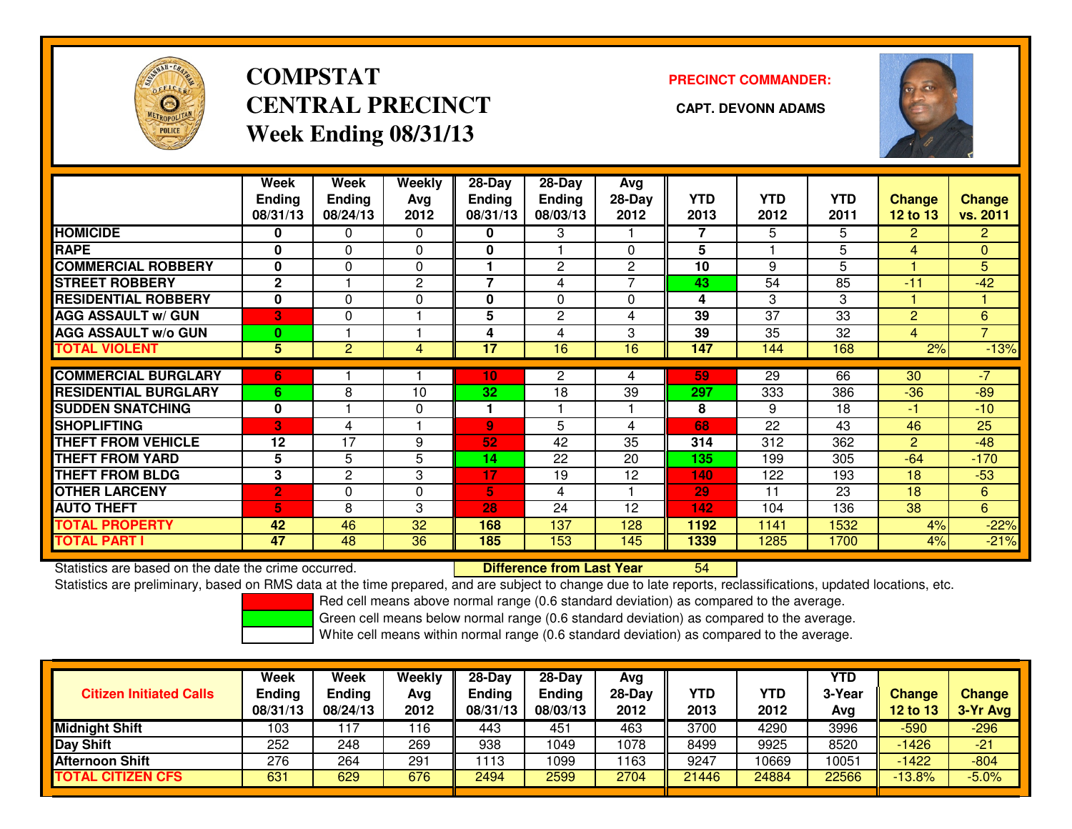

## **COMPSTATCENTRAL PRECINCT CAPT. DEVONN ADAMSWeek Ending 08/31/13**

### **PRECINCT COMMANDER:**



|                             | Week<br><b>Ending</b> | Week<br><b>Ending</b> | Weekly<br>Avg | 28-Day<br><b>Ending</b> | $28$ -Day<br><b>Ending</b> | Avg<br>$28-Day$ | <b>YTD</b> | <b>YTD</b> | <b>YTD</b> | Change          | <b>Change</b>  |
|-----------------------------|-----------------------|-----------------------|---------------|-------------------------|----------------------------|-----------------|------------|------------|------------|-----------------|----------------|
|                             | 08/31/13              | 08/24/13              | 2012          | 08/31/13                | 08/03/13                   | 2012            | 2013       | 2012       | 2011       | <b>12 to 13</b> | vs. 2011       |
| <b>HOMICIDE</b>             | 0                     | 0                     | $\Omega$      | 0                       | 3                          |                 | 7          | 5          | 5          | $\overline{2}$  | $\overline{2}$ |
| <b>RAPE</b>                 | $\bf{0}$              | $\Omega$              | $\Omega$      | 0                       |                            | 0               | 5          |            | 5          | 4               | $\mathbf{0}$   |
| <b>COMMERCIAL ROBBERY</b>   | $\bf{0}$              | $\Omega$              | $\Omega$      |                         | 2                          | $\overline{2}$  | 10         | 9          | 5          |                 | 5              |
| <b>STREET ROBBERY</b>       | $\mathbf{2}$          |                       | 2             | $\overline{ }$          | 4                          |                 | 43         | 54         | 85         | $-11$           | $-42$          |
| <b>RESIDENTIAL ROBBERY</b>  | $\mathbf 0$           | $\Omega$              | $\Omega$      | 0                       | $\Omega$                   | $\Omega$        | 4          | 3          | 3          |                 |                |
| <b>AGG ASSAULT w/ GUN</b>   | 3                     | $\Omega$              |               | 5                       | 2                          | 4               | 39         | 37         | 33         | 2               | 6              |
| <b>AGG ASSAULT w/o GUN</b>  | $\bf{0}$              |                       |               | 4                       | 4                          | 3               | 39         | 35         | 32         | 4               | $\overline{7}$ |
| <b>TOTAL VIOLENT</b>        | 5                     | $\overline{2}$        | 4             | $\overline{17}$         | 16                         | 16              | 147        | 144        | 168        | 2%              | $-13%$         |
|                             |                       |                       |               |                         |                            |                 |            |            |            |                 |                |
| <b>COMMERCIAL BURGLARY</b>  | 6                     |                       |               | 10                      | 2                          | 4               | 59         | 29         | 66         | 30              | $-7$           |
| <b>RESIDENTIAL BURGLARY</b> | 6                     | 8                     | 10            | 32                      | 18                         | 39              | 297        | 333        | 386        | $-36$           | $-89$          |
| <b>SUDDEN SNATCHING</b>     | $\mathbf 0$           |                       | 0             |                         |                            |                 | 8          | 9          | 18         | -1              | $-10$          |
| <b>SHOPLIFTING</b>          | B                     | 4                     |               | $\mathbf{Q}$            | 5                          | 4               | 68         | 22         | 43         | 46              | 25             |
| <b>THEFT FROM VEHICLE</b>   | 12                    | 17                    | 9             | 52                      | 42                         | 35              | 314        | 312        | 362        | 2               | $-48$          |
| <b>THEFT FROM YARD</b>      | 5                     | 5                     | 5             | 14                      | 22                         | 20              | 135        | 199        | 305        | $-64$           | $-170$         |
| <b>THEFT FROM BLDG</b>      | 3                     | $\overline{2}$        | 3             | 17                      | 19                         | 12              | 140        | 122        | 193        | 18              | $-53$          |
| <b>OTHER LARCENY</b>        | $\overline{2}$        | $\Omega$              | $\Omega$      | 5                       | 4                          |                 | 29         | 11         | 23         | 18              | 6              |
| <b>AUTO THEFT</b>           | 5                     | 8                     | 3             | 28                      | 24                         | 12              | 142        | 104        | 136        | 38 <sup>°</sup> | 6              |
| <b>TOTAL PROPERTY</b>       | 42                    | 46                    | 32            | 168                     | 137                        | 128             | 1192       | 1141       | 1532       | 4%              | $-22%$         |
| <b>TOTAL PART I</b>         | 47                    | 48                    | 36            | 185                     | 153                        | 145             | 1339       | 1285       | 1700       | 4%              | $-21%$         |

Statistics are based on the date the crime occurred. **Difference from Last Year** 

Statistics are preliminary, based on RMS data at the time prepared, and are subject to change due to late reports, reclassifications, updated locations, etc.

Red cell means above normal range (0.6 standard deviation) as compared to the average.

Green cell means below normal range (0.6 standard deviation) as compared to the average.

<sup>54</sup>

| <b>Citizen Initiated Calls</b> | Week<br>Ending<br>08/31/13 | Week<br>Ending<br>08/24/13 | <b>Weekly</b><br>Avg<br>2012 | $28-Day$<br><b>Ending</b><br>08/31/13 | $28 - Day$<br><b>Ending</b><br>08/03/13 | Avg<br>28-Day<br>2012 | YTD<br>2013 | YTD<br>2012 | <b>YTD</b><br>3-Year<br>Avg | <b>Change</b><br><b>12 to 13</b> | <b>Change</b><br>3-Yr Avg |
|--------------------------------|----------------------------|----------------------------|------------------------------|---------------------------------------|-----------------------------------------|-----------------------|-------------|-------------|-----------------------------|----------------------------------|---------------------------|
| <b>Midnight Shift</b>          | 103                        |                            | 16                           | 443                                   | 451                                     | 463                   | 3700        | 4290        | 3996                        | $-590$                           | $-296$                    |
| Day Shift                      | 252                        | 248                        | 269                          | 938                                   | 1049                                    | 1078                  | 8499        | 9925        | 8520                        | $-1426$                          | $-21$                     |
| <b>Afternoon Shift</b>         | 276                        | 264                        | 291                          | 1113                                  | 1099                                    | 1163                  | 9247        | 10669       | 10051                       | $-1422$                          | $-804$                    |
| TOTAL CITIZEN CFS              | 631                        | 629                        | 676                          | 2494                                  | 2599                                    | 2704                  | 21446       | 24884       | 22566                       | $-13.8%$                         | $-5.0%$                   |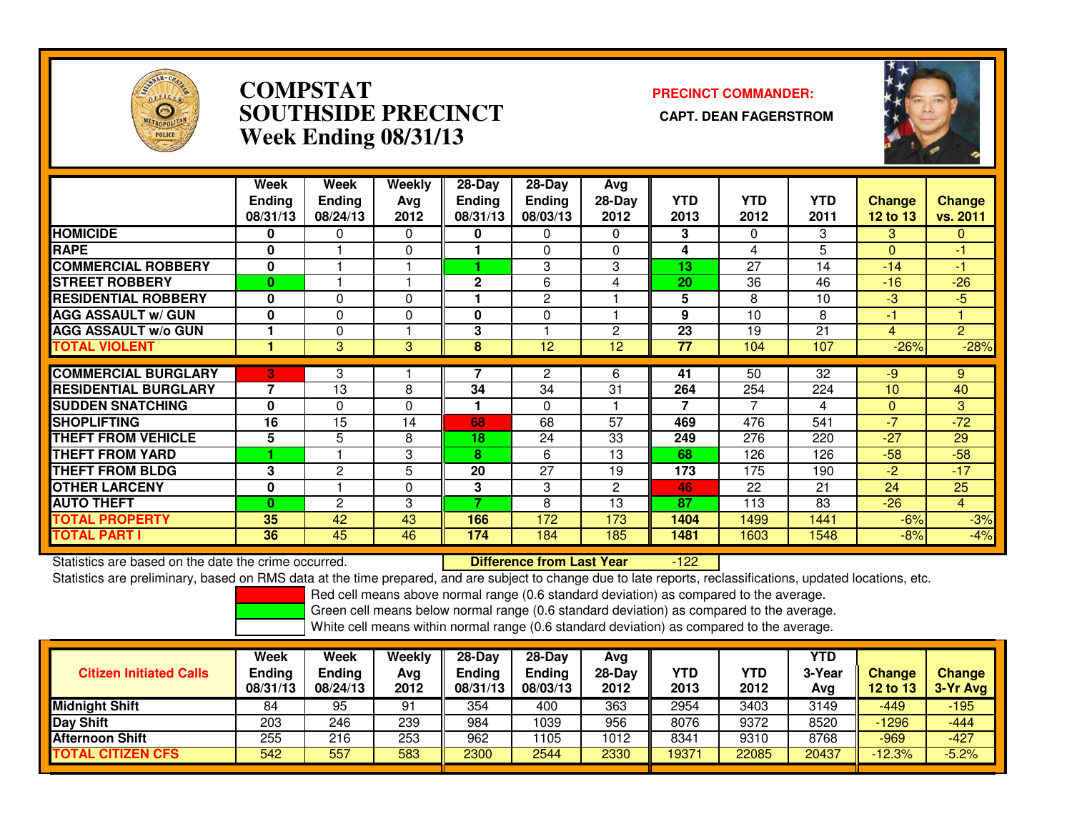

### **COMPSTAT PRECINCT COMMANDER: SOUTHSIDE PRECINCT CAPT. DEAN FAGERSTROMWeek Ending 08/31/13**



|                             | Week<br><b>Ending</b><br>08/31/13 | Week<br><b>Ending</b><br>08/24/13 | Weekly<br>Ava<br>2012 | $28-Day$<br><b>Ending</b><br>08/31/13 | $28-Day$<br><b>Ending</b><br>08/03/13 | Avg<br>$28-Day$<br>2012 | <b>YTD</b><br>2013 | <b>YTD</b><br>2012 | <b>YTD</b><br>2011 | <b>Change</b><br>12 to $13$ | Change<br>vs. 2011 |
|-----------------------------|-----------------------------------|-----------------------------------|-----------------------|---------------------------------------|---------------------------------------|-------------------------|--------------------|--------------------|--------------------|-----------------------------|--------------------|
| <b>HOMICIDE</b>             | 0                                 | 0                                 | $\Omega$              | 0                                     | 0                                     | 0                       | 3                  | $\Omega$           | 3                  | 3                           | $\Omega$           |
| <b>RAPE</b>                 | 0                                 |                                   | $\mathbf 0$           |                                       | 0                                     | $\Omega$                | 4                  | 4                  | 5                  | $\Omega$                    | $-1$               |
| <b>COMMERCIAL ROBBERY</b>   | 0                                 |                                   |                       |                                       | 3                                     | 3                       | 13                 | 27                 | 14                 | $-14$                       | $-1$               |
| <b>STREET ROBBERY</b>       | 0                                 |                                   |                       | $\mathbf{2}$                          | 6                                     | 4                       | 20                 | 36                 | 46                 | $-16$                       | $-26$              |
| <b>RESIDENTIAL ROBBERY</b>  | 0                                 | 0                                 | $\Omega$              |                                       | 2                                     |                         | 5                  | 8                  | 10                 | -3                          | $-5$               |
| <b>AGG ASSAULT w/ GUN</b>   | 0                                 | 0                                 | $\Omega$              | O                                     | $\Omega$                              |                         | 9                  | 10                 | 8                  | -1                          |                    |
| <b>AGG ASSAULT w/o GUN</b>  |                                   | 0                                 |                       | 3                                     |                                       | $\overline{2}$          | 23                 | 19                 | 21                 | 4                           | $\overline{2}$     |
| <b>TOTAL VIOLENT</b>        |                                   | 3                                 | 3                     | 8                                     | 12                                    | 12                      | 77                 | 104                | 107                | $-26%$                      | $-28%$             |
|                             |                                   |                                   |                       |                                       |                                       |                         |                    |                    |                    |                             |                    |
| <b>COMMERCIAL BURGLARY</b>  | 3                                 | 3                                 |                       |                                       | 2                                     | 6                       | 41                 | 50                 | 32                 | -9                          | 9                  |
| <b>RESIDENTIAL BURGLARY</b> | 7                                 | 13                                | 8                     | 34                                    | 34                                    | 31                      | 264                | 254                | 224                | 10                          | 40                 |
| <b>SUDDEN SNATCHING</b>     | $\bf{0}$                          | 0                                 | $\Omega$              |                                       | 0                                     |                         | 7                  | 7                  | 4                  | $\mathbf{0}$                | 3                  |
| <b>SHOPLIFTING</b>          | 16                                | 15                                | 14                    | 68                                    | 68                                    | 57                      | 469                | 476                | 541                | $-7$                        | $-72$              |
| <b>THEFT FROM VEHICLE</b>   | 5                                 | 5                                 | 8                     | 18                                    | 24                                    | 33                      | 249                | 276                | 220                | $-27$                       | 29                 |
| <b>THEFT FROM YARD</b>      |                                   |                                   | 3                     | 8                                     | 6                                     | 13                      | 68                 | 126                | 126                | $-58$                       | $-58$              |
| <b>THEFT FROM BLDG</b>      | 3                                 | $\overline{2}$                    | 5                     | 20                                    | 27                                    | 19                      | 173                | 175                | 190                | -2                          | $-17$              |
| <b>OTHER LARCENY</b>        | 0                                 |                                   | $\Omega$              | 3                                     | 3                                     | $\overline{2}$          | 46                 | 22                 | 21                 | 24                          | 25                 |
| <b>AUTO THEFT</b>           | 0                                 | $\overline{2}$                    | 3                     |                                       | 8                                     | 13                      | 87                 | 113                | 83                 | $-26$                       | $\overline{4}$     |
| <b>TOTAL PROPERTY</b>       | 35                                | 42                                | 43                    | 166                                   | 172                                   | 173                     | 1404               | 1499               | 1441               | $-6%$                       | $-3%$              |
| <b>TOTAL PART I</b>         | 36                                | 45                                | 46                    | 174                                   | 184                                   | 185                     | 1481               | 1603               | 1548               | $-8%$                       | $-4%$              |

Statistics are based on the date the crime occurred. **Difference from Last Year**  $-122$ Statistics are preliminary, based on RMS data at the time prepared, and are subject to change due to late reports, reclassifications, updated locations, etc.

Red cell means above normal range (0.6 standard deviation) as compared to the average.

Green cell means below normal range (0.6 standard deviation) as compared to the average.

| <b>Citizen Initiated Calls</b> | Week<br><b>Ending</b><br>08/31/13 | Week<br>Ending<br>08/24/13 | Weekly<br>Avg<br>2012 | 28-Dav<br>Ending<br>08/31/13 | $28-Dav$<br><b>Ending</b><br>08/03/13 | Avg<br>$28-Day$<br>2012 | <b>YTD</b><br>2013 | YTD<br>2012 | <b>YTD</b><br>3-Year<br>Avg | <b>Change</b><br>12 to 13 | <b>Change</b><br>3-Yr Avg |
|--------------------------------|-----------------------------------|----------------------------|-----------------------|------------------------------|---------------------------------------|-------------------------|--------------------|-------------|-----------------------------|---------------------------|---------------------------|
| <b>Midnight Shift</b>          | 84                                | 95                         | 91                    | 354                          | 400                                   | 363                     | 2954               | 3403        | 3149                        | $-449$                    | $-195$                    |
| Day Shift                      | 203                               | 246                        | 239                   | 984                          | 1039                                  | 956                     | 8076               | 9372        | 8520                        | $-1296$                   | $-444$                    |
| <b>Afternoon Shift</b>         | 255                               | 216                        | 253                   | 962                          | 105                                   | 1012                    | 8341               | 9310        | 8768                        | $-969$                    | $-427$                    |
| <b>CITIZEN CFS</b><br>ΤΟΤΑL    | 542                               | 557                        | 583                   | 2300                         | 2544                                  | 2330                    | 19371              | 22085       | 20437                       | $-12.3%$                  | $-5.2%$                   |